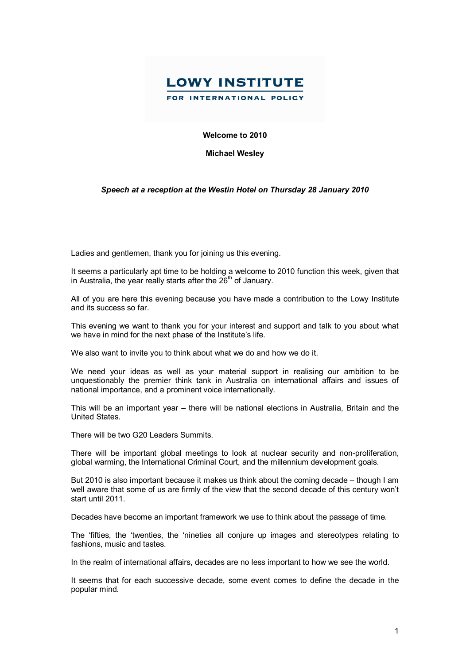

## **Welcome to 2010**

**Michael Wesley**

## *Speech at a reception at the Westin Hotel on Thursday 28 January 2010*

Ladies and gentlemen, thank you for joining us this evening.

It seems a particularly apt time to be holding a welcome to 2010 function this week, given that in Australia, the year really starts after the 26<sup>th</sup> of January.

All of you are here this evening because you have made a contribution to the Lowy Institute and its success so far.

This evening we want to thank you for your interest and support and talk to you about what we have in mind for the next phase of the Institute's life.

We also want to invite you to think about what we do and how we do it.

We need your ideas as well as your material support in realising our ambition to be unquestionably the premier think tank in Australia on international affairs and issues of national importance, and a prominent voice internationally.

This will be an important year – there will be national elections in Australia, Britain and the United States.

There will be two G20 Leaders Summits.

There will be important global meetings to look at nuclear security and non-proliferation, global warming, the International Criminal Court, and the millennium development goals.

But 2010 is also important because it makes us think about the coming decade – though I am well aware that some of us are firmly of the view that the second decade of this century won't start until 2011.

Decades have become an important framework we use to think about the passage of time.

The 'fifties, the 'twenties, the 'nineties all conjure up images and stereotypes relating to fashions, music and tastes.

In the realm of international affairs, decades are no less important to how we see the world.

It seems that for each successive decade, some event comes to define the decade in the popular mind.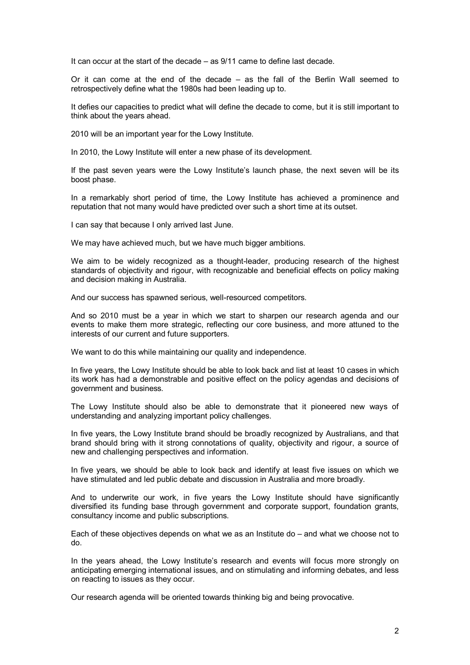It can occur at the start of the decade – as 9/11 came to define last decade.

Or it can come at the end of the decade – as the fall of the Berlin Wall seemed to retrospectively define what the 1980s had been leading up to.

It defies our capacities to predict what will define the decade to come, but it is still important to think about the years ahead.

2010 will be an important year for the Lowy Institute.

In 2010, the Lowy Institute will enter a new phase of its development.

If the past seven years were the Lowy Institute's launch phase, the next seven will be its boost phase.

In a remarkably short period of time, the Lowy Institute has achieved a prominence and reputation that not many would have predicted over such a short time at its outset.

I can say that because I only arrived last June.

We may have achieved much, but we have much bigger ambitions.

We aim to be widely recognized as a thought-leader, producing research of the highest standards of objectivity and rigour, with recognizable and beneficial effects on policy making and decision making in Australia.

And our success has spawned serious, well-resourced competitors.

And so 2010 must be a year in which we start to sharpen our research agenda and our events to make them more strategic, reflecting our core business, and more attuned to the interests of our current and future supporters.

We want to do this while maintaining our quality and independence.

In five years, the Lowy Institute should be able to look back and list at least 10 cases in which its work has had a demonstrable and positive effect on the policy agendas and decisions of government and business.

The Lowy Institute should also be able to demonstrate that it pioneered new ways of understanding and analyzing important policy challenges.

In five years, the Lowy Institute brand should be broadly recognized by Australians, and that brand should bring with it strong connotations of quality, objectivity and rigour, a source of new and challenging perspectives and information.

In five years, we should be able to look back and identify at least five issues on which we have stimulated and led public debate and discussion in Australia and more broadly.

And to underwrite our work, in five years the Lowy Institute should have significantly diversified its funding base through government and corporate support, foundation grants, consultancy income and public subscriptions.

Each of these objectives depends on what we as an Institute do – and what we choose not to do.

In the years ahead, the Lowy Institute's research and events will focus more strongly on anticipating emerging international issues, and on stimulating and informing debates, and less on reacting to issues as they occur.

Our research agenda will be oriented towards thinking big and being provocative.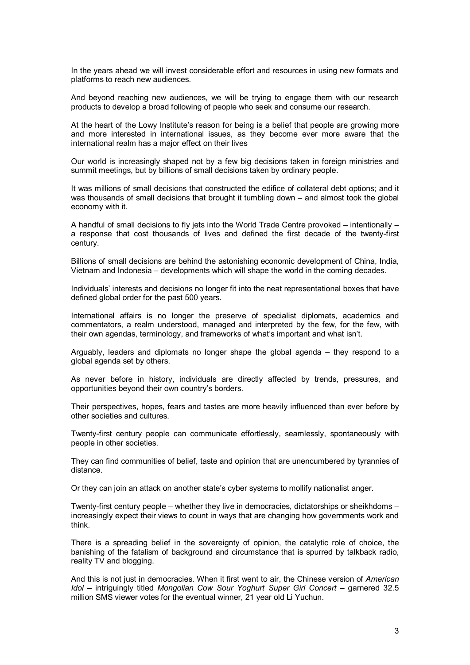In the years ahead we will invest considerable effort and resources in using new formats and platforms to reach new audiences.

And beyond reaching new audiences, we will be trying to engage them with our research products to develop a broad following of people who seek and consume our research.

At the heart of the Lowy Institute's reason for being is a belief that people are growing more and more interested in international issues, as they become ever more aware that the international realm has a major effect on their lives

Our world is increasingly shaped not by a few big decisions taken in foreign ministries and summit meetings, but by billions of small decisions taken by ordinary people.

It was millions of small decisions that constructed the edifice of collateral debt options; and it was thousands of small decisions that brought it tumbling down – and almost took the global economy with it.

A handful of small decisions to fly jets into the World Trade Centre provoked – intentionally – a response that cost thousands of lives and defined the first decade of the twenty-first century.

Billions of small decisions are behind the astonishing economic development of China, India, Vietnam and Indonesia – developments which will shape the world in the coming decades.

Individuals' interests and decisions no longer fit into the neat representational boxes that have defined global order for the past 500 years.

International affairs is no longer the preserve of specialist diplomats, academics and commentators, a realm understood, managed and interpreted by the few, for the few, with their own agendas, terminology, and frameworks of what's important and what isn't.

Arguably, leaders and diplomats no longer shape the global agenda – they respond to a global agenda set by others.

As never before in history, individuals are directly affected by trends, pressures, and opportunities beyond their own country's borders.

Their perspectives, hopes, fears and tastes are more heavily influenced than ever before by other societies and cultures.

Twenty-first century people can communicate effortlessly, seamlessly, spontaneously with people in other societies.

They can find communities of belief, taste and opinion that are unencumbered by tyrannies of distance.

Or they can join an attack on another state's cyber systems to mollify nationalist anger.

Twenty-first century people – whether they live in democracies, dictatorships or sheikhdoms – increasingly expect their views to count in ways that are changing how governments work and think.

There is a spreading belief in the sovereignty of opinion, the catalytic role of choice, the banishing of the fatalism of background and circumstance that is spurred by talkback radio, reality TV and blogging.

And this is not just in democracies. When it first went to air, the Chinese version of *American Idol* – intriguingly titled *Mongolian Cow Sour Yoghurt Super Girl Concert* – garnered 32.5 million SMS viewer votes for the eventual winner, 21 year old Li Yuchun.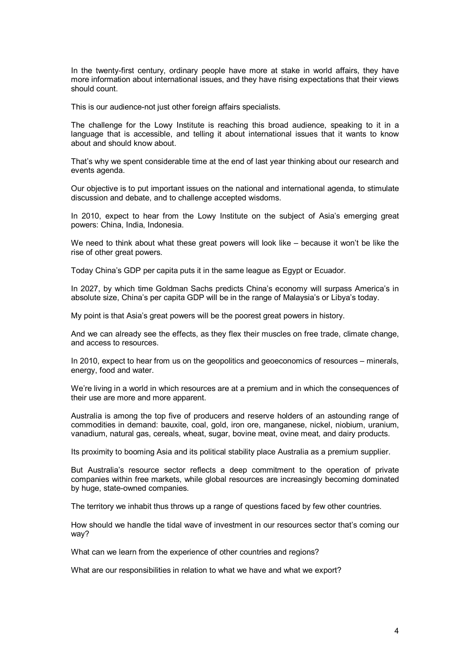In the twenty-first century, ordinary people have more at stake in world affairs, they have more information about international issues, and they have rising expectations that their views should count.

This is our audience-not just other foreign affairs specialists.

The challenge for the Lowy Institute is reaching this broad audience, speaking to it in a language that is accessible, and telling it about international issues that it wants to know about and should know about.

That's why we spent considerable time at the end of last year thinking about our research and events agenda.

Our objective is to put important issues on the national and international agenda, to stimulate discussion and debate, and to challenge accepted wisdoms.

In 2010, expect to hear from the Lowy Institute on the subject of Asia's emerging great powers: China, India, Indonesia.

We need to think about what these great powers will look like – because it won't be like the rise of other great powers.

Today China's GDP per capita puts it in the same league as Egypt or Ecuador.

In 2027, by which time Goldman Sachs predicts China's economy will surpass America's in absolute size, China's per capita GDP will be in the range of Malaysia's or Libya's today.

My point is that Asia's great powers will be the poorest great powers in history.

And we can already see the effects, as they flex their muscles on free trade, climate change, and access to resources.

In 2010, expect to hear from us on the geopolitics and geoeconomics of resources – minerals, energy, food and water.

We're living in a world in which resources are at a premium and in which the consequences of their use are more and more apparent.

Australia is among the top five of producers and reserve holders of an astounding range of commodities in demand: bauxite, coal, gold, iron ore, manganese, nickel, niobium, uranium, vanadium, natural gas, cereals, wheat, sugar, bovine meat, ovine meat, and dairy products.

Its proximity to booming Asia and its political stability place Australia as a premium supplier.

But Australia's resource sector reflects a deep commitment to the operation of private companies within free markets, while global resources are increasingly becoming dominated by huge, state-owned companies.

The territory we inhabit thus throws up a range of questions faced by few other countries.

How should we handle the tidal wave of investment in our resources sector that's coming our way?

What can we learn from the experience of other countries and regions?

What are our responsibilities in relation to what we have and what we export?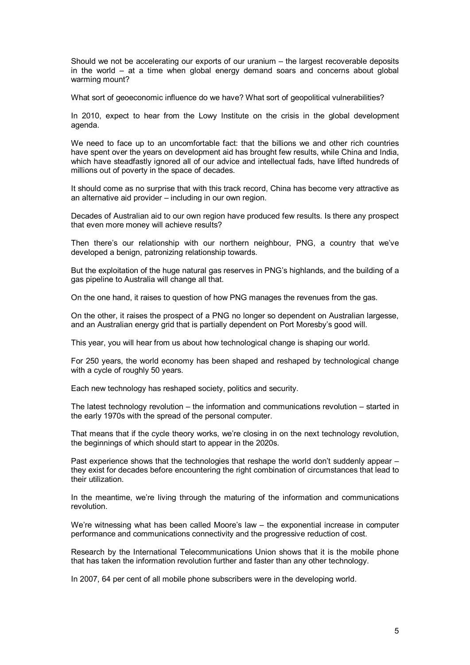Should we not be accelerating our exports of our uranium – the largest recoverable deposits in the world – at a time when global energy demand soars and concerns about global warming mount?

What sort of geoeconomic influence do we have? What sort of geopolitical vulnerabilities?

In 2010, expect to hear from the Lowy Institute on the crisis in the global development agenda.

We need to face up to an uncomfortable fact: that the billions we and other rich countries have spent over the years on development aid has brought few results, while China and India, which have steadfastly ignored all of our advice and intellectual fads, have lifted hundreds of millions out of poverty in the space of decades.

It should come as no surprise that with this track record, China has become very attractive as an alternative aid provider – including in our own region.

Decades of Australian aid to our own region have produced few results. Is there any prospect that even more money will achieve results?

Then there's our relationship with our northern neighbour, PNG, a country that we've developed a benign, patronizing relationship towards.

But the exploitation of the huge natural gas reserves in PNG's highlands, and the building of a gas pipeline to Australia will change all that.

On the one hand, it raises to question of how PNG manages the revenues from the gas.

On the other, it raises the prospect of a PNG no longer so dependent on Australian largesse, and an Australian energy grid that is partially dependent on Port Moresby's good will.

This year, you will hear from us about how technological change is shaping our world.

For 250 years, the world economy has been shaped and reshaped by technological change with a cycle of roughly 50 years.

Each new technology has reshaped society, politics and security.

The latest technology revolution – the information and communications revolution – started in the early 1970s with the spread of the personal computer.

That means that if the cycle theory works, we're closing in on the next technology revolution, the beginnings of which should start to appear in the 2020s.

Past experience shows that the technologies that reshape the world don't suddenly appear – they exist for decades before encountering the right combination of circumstances that lead to their utilization.

In the meantime, we're living through the maturing of the information and communications revolution.

We're witnessing what has been called Moore's law – the exponential increase in computer performance and communications connectivity and the progressive reduction of cost.

Research by the International Telecommunications Union shows that it is the mobile phone that has taken the information revolution further and faster than any other technology.

In 2007, 64 per cent of all mobile phone subscribers were in the developing world.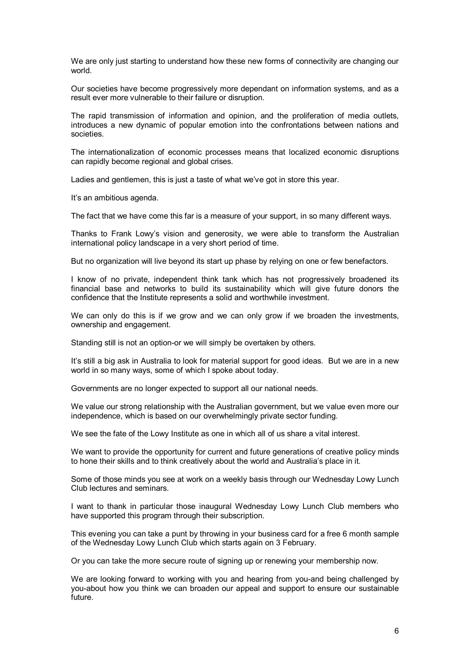We are only just starting to understand how these new forms of connectivity are changing our world.

Our societies have become progressively more dependant on information systems, and as a result ever more vulnerable to their failure or disruption.

The rapid transmission of information and opinion, and the proliferation of media outlets, introduces a new dynamic of popular emotion into the confrontations between nations and societies.

The internationalization of economic processes means that localized economic disruptions can rapidly become regional and global crises.

Ladies and gentlemen, this is just a taste of what we've got in store this year.

It's an ambitious agenda.

The fact that we have come this far is a measure of your support, in so many different ways.

Thanks to Frank Lowy's vision and generosity, we were able to transform the Australian international policy landscape in a very short period of time.

But no organization will live beyond its start up phase by relying on one or few benefactors.

I know of no private, independent think tank which has not progressively broadened its financial base and networks to build its sustainability which will give future donors the confidence that the Institute represents a solid and worthwhile investment.

We can only do this is if we grow and we can only grow if we broaden the investments, ownership and engagement.

Standing still is not an option-or we will simply be overtaken by others.

It's still a big ask in Australia to look for material support for good ideas. But we are in a new world in so many ways, some of which I spoke about today.

Governments are no longer expected to support all our national needs.

We value our strong relationship with the Australian government, but we value even more our independence, which is based on our overwhelmingly private sector funding.

We see the fate of the Lowy Institute as one in which all of us share a vital interest.

We want to provide the opportunity for current and future generations of creative policy minds to hone their skills and to think creatively about the world and Australia's place in it.

Some of those minds you see at work on a weekly basis through our Wednesday Lowy Lunch Club lectures and seminars.

I want to thank in particular those inaugural Wednesday Lowy Lunch Club members who have supported this program through their subscription.

This evening you can take a punt by throwing in your business card for a free 6 month sample of the Wednesday Lowy Lunch Club which starts again on 3 February.

Or you can take the more secure route of signing up or renewing your membership now.

We are looking forward to working with you and hearing from you-and being challenged by you-about how you think we can broaden our appeal and support to ensure our sustainable future.